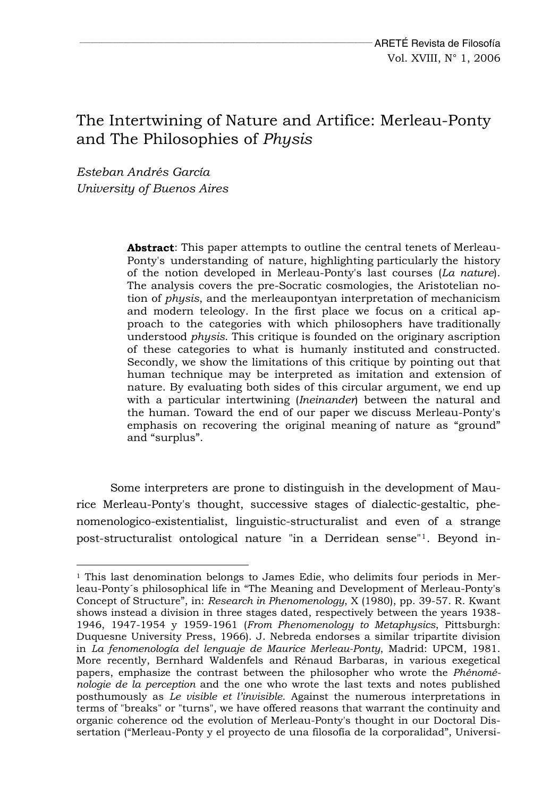## The Intertwining of Nature and Artifice: Merleau-Ponty and The Philosophies of *Physis*

*Esteban Andrés García University of Buenos Aires* 

l

**Abstract**: This paper attempts to outline the central tenets of Merleau-Ponty's understanding of nature, highlighting particularly the history of the notion developed in Merleau-Ponty's last courses (*La nature*). The analysis covers the pre-Socratic cosmologies, the Aristotelian notion of *physis*, and the merleaupontyan interpretation of mechanicism and modern teleology. In the first place we focus on a critical approach to the categories with which philosophers have traditionally understood *physis*. This critique is founded on the originary ascription of these categories to what is humanly instituted and constructed. Secondly, we show the limitations of this critique by pointing out that human technique may be interpreted as imitation and extension of nature. By evaluating both sides of this circular argument, we end up with a particular intertwining (*Ineinander*) between the natural and the human. Toward the end of our paper we discuss Merleau-Ponty's emphasis on recovering the original meaning of nature as "ground" and "surplus".

Some interpreters are prone to distinguish in the development of Maurice Merleau-Ponty's thought, successive stages of dialectic-gestaltic, phenomenologico-existentialist, linguistic-structuralist and even of a strange post-structuralist ontological nature "in a Derridean sense"[1](#page-0-0). Beyond in-

<span id="page-0-0"></span> $1$  This last denomination belongs to James Edie, who delimits four periods in Merleau-Ponty´s philosophical life in "The Meaning and Development of Merleau-Ponty's Concept of Structure", in: *Research in Phenomenology*, X (1980), pp. 39-57. R. Kwant shows instead a division in three stages dated, respectively between the years 1938- 1946, 1947-1954 y 1959-1961 (*From Phenomenology to Metaphysics*, Pittsburgh: Duquesne University Press, 1966). J. Nebreda endorses a similar tripartite division in *La fenomenología del lenguaje de Maurice Merleau-Ponty*, Madrid: UPCM, 1981. More recently, Bernhard Waldenfels and Rénaud Barbaras, in various exegetical papers, emphasize the contrast between the philosopher who wrote the *Phénoménologie de la perception* and the one who wrote the last texts and notes published posthumously as *Le visible et l'invisible*. Against the numerous interpretations in terms of "breaks" or "turns", we have offered reasons that warrant the continuity and organic coherence od the evolution of Merleau-Ponty's thought in our Doctoral Dissertation ("Merleau-Ponty y el proyecto de una filosofía de la corporalidad", Universi-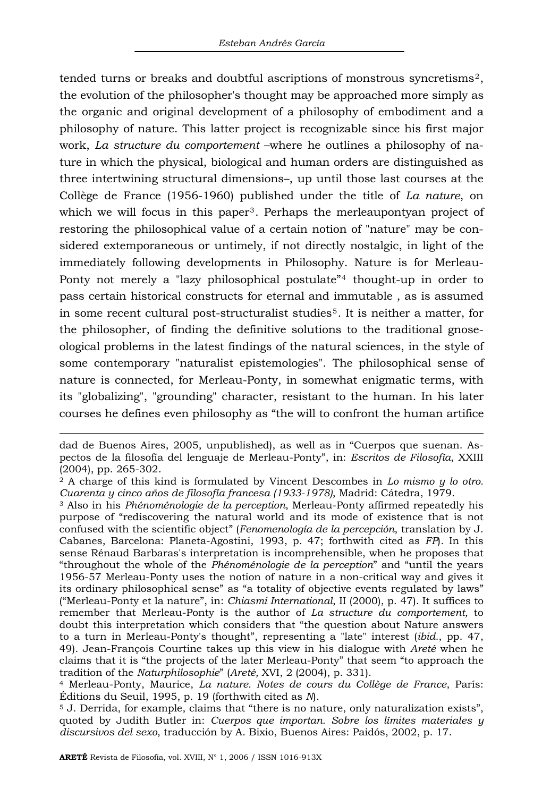tended turns or breaks and doubtful ascriptions of monstrous syncretisms[2](#page-1-0), the evolution of the philosopher's thought may be approached more simply as the organic and original development of a philosophy of embodiment and a philosophy of nature. This latter project is recognizable since his first major work, *La structure du comportement* –where he outlines a philosophy of nature in which the physical, biological and human orders are distinguished as three intertwining structural dimensions–, up until those last courses at the Collège de France (1956-1960) published under the title of *La nature*, on which we will focus in this paper<sup>[3](#page-1-1)</sup>. Perhaps the merleaupontyan project of restoring the philosophical value of a certain notion of "nature" may be considered extemporaneous or untimely, if not directly nostalgic, in light of the immediately following developments in Philosophy. Nature is for Merleau-Ponty not merely a "lazy philosophical postulate"<sup>[4](#page-1-2)</sup> thought-up in order to pass certain historical constructs for eternal and immutable , as is assumed in some recent cultural post-structuralist studies[5](#page-1-3). It is neither a matter, for the philosopher, of finding the definitive solutions to the traditional gnoseological problems in the latest findings of the natural sciences, in the style of some contemporary "naturalist epistemologies". The philosophical sense of nature is connected, for Merleau-Ponty, in somewhat enigmatic terms, with its "globalizing", "grounding" character, resistant to the human. In his later courses he defines even philosophy as "the will to confront the human artifice

dad de Buenos Aires, 2005, unpublished), as well as in "Cuerpos que suenan. Aspectos de la filosofía del lenguaje de Merleau-Ponty", in: *Escritos de Filosofía*, XXIII (2004), pp. 265-302.

<span id="page-1-0"></span><sup>2</sup> A charge of this kind is formulated by Vincent Descombes in *Lo mismo y lo otro.* 

<span id="page-1-1"></span>*Cuarenta y cinco años de filosofía francesa (1933-1978)*, Madrid: Cátedra, 1979. 3 Also in his *Phénoménologie de la perception*, Merleau-Ponty affirmed repeatedly his purpose of "rediscovering the natural world and its mode of existence that is not confused with the scientific object" (*Fenomenología de la percepción*, translation by J. Cabanes, Barcelona: Planeta-Agostini, 1993, p. 47; forthwith cited as *FP*). In this sense Rénaud Barbaras's interpretation is incomprehensible, when he proposes that "throughout the whole of the *Phénoménologie de la perception*" and "until the years 1956-57 Merleau-Ponty uses the notion of nature in a non-critical way and gives it its ordinary philosophical sense" as "a totality of objective events regulated by laws" ("Merleau-Ponty et la nature", in: *Chiasmi International*, II (2000), p. 47). It suffices to remember that Merleau-Ponty is the author of *La structure du comportement,* to doubt this interpretation which considers that "the question about Nature answers to a turn in Merleau-Ponty's thought", representing a "late" interest (*ibid.*, pp. 47, 49). Jean-François Courtine takes up this view in his dialogue with *Areté* when he claims that it is "the projects of the later Merleau-Ponty" that seem "to approach the tradition of the *Naturphilosophie"* (*Areté*, XVI, 2 (2004), p. 331).

<span id="page-1-2"></span><sup>&</sup>lt;sup>4</sup> Merleau-Ponty, Maurice, *La nature. Notes de cours du Collège de France*, París: Éditions du Seuil, 1995, p. 19 (forthwith cited as *N*).<br><sup>5</sup> J. Derrida, for example, claims that "there is no nature, only naturalization exists",

<span id="page-1-3"></span>quoted by Judith Butler in: *Cuerpos que importan. Sobre los límites materiales y discursivos del sexo*, traducción by A. Bixio, Buenos Aires: Paidós, 2002, p. 17.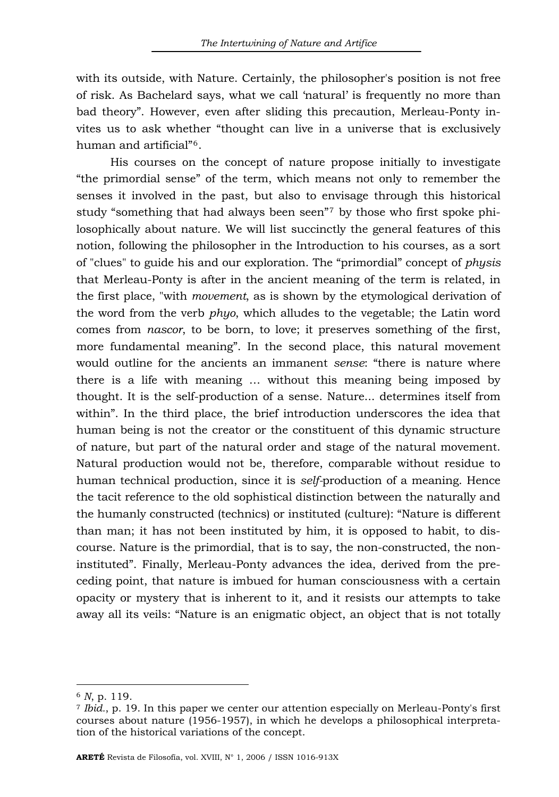with its outside, with Nature. Certainly, the philosopher's position is not free of risk. As Bachelard says, what we call 'natural' is frequently no more than bad theory". However, even after sliding this precaution, Merleau-Ponty invites us to ask whether "thought can live in a universe that is exclusively human and artificial"[6](#page-2-0).

His courses on the concept of nature propose initially to investigate "the primordial sense" of the term, which means not only to remember the senses it involved in the past, but also to envisage through this historical study "something that had always been seen"[7](#page-2-1) by those who first spoke philosophically about nature. We will list succinctly the general features of this notion, following the philosopher in the Introduction to his courses, as a sort of "clues" to guide his and our exploration. The "primordial" concept of *physis* that Merleau-Ponty is after in the ancient meaning of the term is related, in the first place, "with *movement*, as is shown by the etymological derivation of the word from the verb *phyo*, which alludes to the vegetable; the Latin word comes from *nascor*, to be born, to love; it preserves something of the first, more fundamental meaning". In the second place, this natural movement would outline for the ancients an immanent *sense*: "there is nature where there is a life with meaning … without this meaning being imposed by thought. It is the self-production of a sense. Nature... determines itself from within". In the third place, the brief introduction underscores the idea that human being is not the creator or the constituent of this dynamic structure of nature, but part of the natural order and stage of the natural movement. Natural production would not be, therefore, comparable without residue to human technical production, since it is *self-*production of a meaning. Hence the tacit reference to the old sophistical distinction between the naturally and the humanly constructed (technics) or instituted (culture): "Nature is different than man; it has not been instituted by him, it is opposed to habit, to discourse. Nature is the primordial, that is to say, the non-constructed, the noninstituted". Finally, Merleau-Ponty advances the idea, derived from the preceding point, that nature is imbued for human consciousness with a certain opacity or mystery that is inherent to it, and it resists our attempts to take away all its veils: "Nature is an enigmatic object, an object that is not totally

<span id="page-2-1"></span><span id="page-2-0"></span><sup>&</sup>lt;sup>6</sup> *N*, p. 119.<br>*7 Ibid.*, p. 19. In this paper we center our attention especially on Merleau-Ponty's first courses about nature (1956-1957), in which he develops a philosophical interpretation of the historical variations of the concept.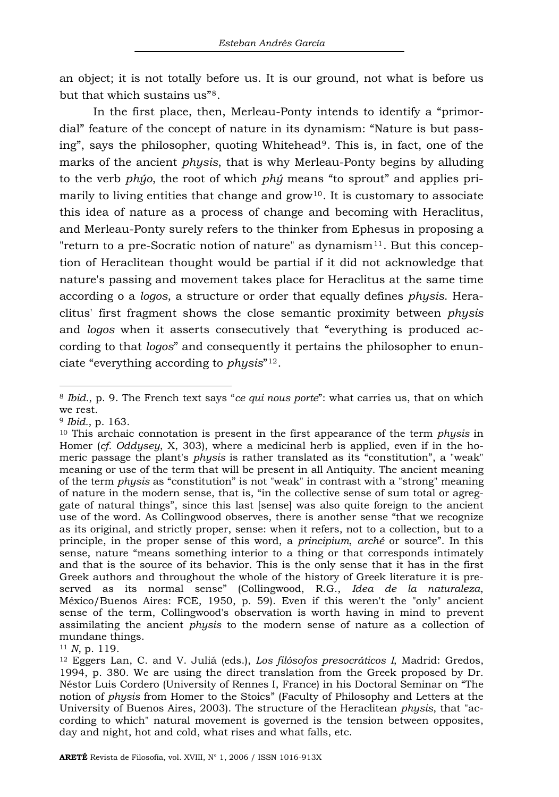an object; it is not totally before us. It is our ground, not what is before us but that which sustains us"[8](#page-3-0).

In the first place, then, Merleau-Ponty intends to identify a "primordial" feature of the concept of nature in its dynamism: "Nature is but passing", says the philosopher, quoting Whitehead[9](#page-3-1). This is, in fact, one of the marks of the ancient *physis*, that is why Merleau-Ponty begins by alluding to the verb *phýo*, the root of which *phý* means "to sprout" and applies primarily to living entities that change and  $\text{grow}^{10}$  $\text{grow}^{10}$  $\text{grow}^{10}$ . It is customary to associate this idea of nature as a process of change and becoming with Heraclitus, and Merleau-Ponty surely refers to the thinker from Ephesus in proposing a "return to a pre-Socratic notion of nature" as dynamism $11$ . But this conception of Heraclitean thought would be partial if it did not acknowledge that nature's passing and movement takes place for Heraclitus at the same time according o a *logos*, a structure or order that equally defines *physis*. Heraclitus' first fragment shows the close semantic proximity between *physis* and *logos* when it asserts consecutively that "everything is produced according to that *logos*" and consequently it pertains the philosopher to enunciate "everything according to *physis*"[12](#page-3-4).

<span id="page-3-0"></span><sup>8</sup> *Ibid.*, p. 9. The French text says "*ce qui nous porte*": what carries us, that on which we rest.

<span id="page-3-2"></span><span id="page-3-1"></span><sup>&</sup>lt;sup>9</sup> *Ibid.*, p. 163.<br><sup>10</sup> This archaic connotation is present in the first appearance of the term *physis* in Homer (*cf. Oddysey*, X, 303), where a medicinal herb is applied, even if in the homeric passage the plant's *physis* is rather translated as its "constitution", a "weak" meaning or use of the term that will be present in all Antiquity. The ancient meaning of the term *physis* as "constitution" is not "weak" in contrast with a "strong" meaning of nature in the modern sense, that is, "in the collective sense of sum total or agreggate of natural things", since this last [sense] was also quite foreign to the ancient use of the word. As Collingwood observes, there is another sense "that we recognize as its original, and strictly proper, sense: when it refers, not to a collection, but to a principle, in the proper sense of this word, a *principium*, *arché* or source". In this sense, nature "means something interior to a thing or that corresponds intimately and that is the source of its behavior. This is the only sense that it has in the first Greek authors and throughout the whole of the history of Greek literature it is preserved as its normal sense" (Collingwood, R.G., *Idea de la naturaleza*, México/Buenos Aires: FCE, 1950, p. 59). Even if this weren't the "only" ancient sense of the term, Collingwood's observation is worth having in mind to prevent assimilating the ancient *physis* to the modern sense of nature as a collection of mundane things.

<span id="page-3-4"></span><span id="page-3-3"></span><sup>&</sup>lt;sup>11</sup> *N*, p. 119.<br><sup>12</sup> Eggers Lan, C. and V. Juliá (eds.), *Los filósofos presocráticos I*, Madrid: Gredos, 1994, p. 380. We are using the direct translation from the Greek proposed by Dr. Néstor Luis Cordero (University of Rennes I, France) in his Doctoral Seminar on "The notion of *physis* from Homer to the Stoics" (Faculty of Philosophy and Letters at the University of Buenos Aires, 2003). The structure of the Heraclitean *physis*, that "according to which" natural movement is governed is the tension between opposites, day and night, hot and cold, what rises and what falls, etc.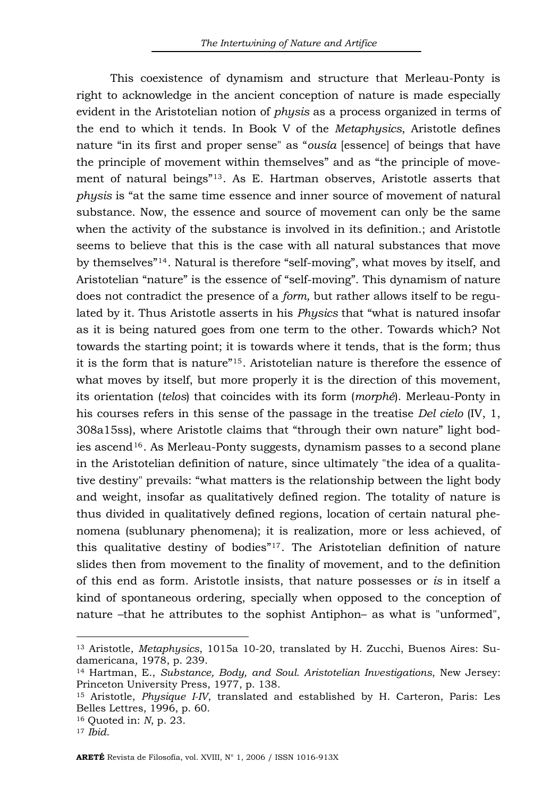This coexistence of dynamism and structure that Merleau-Ponty is right to acknowledge in the ancient conception of nature is made especially evident in the Aristotelian notion of *physis* as a process organized in terms of the end to which it tends. In Book V of the *Metaphysics*, Aristotle defines nature "in its first and proper sense" as "*ousía* [essence] of beings that have the principle of movement within themselves" and as "the principle of movement of natural beings"[13](#page-4-0). As E. Hartman observes, Aristotle asserts that *physis* is "at the same time essence and inner source of movement of natural substance. Now, the essence and source of movement can only be the same when the activity of the substance is involved in its definition.; and Aristotle seems to believe that this is the case with all natural substances that move by themselves"[14](#page-4-1). Natural is therefore "self-moving", what moves by itself, and Aristotelian "nature" is the essence of "self-moving". This dynamism of nature does not contradict the presence of a *form,* but rather allows itself to be regulated by it. Thus Aristotle asserts in his *Physics* that "what is natured insofar as it is being natured goes from one term to the other. Towards which? Not towards the starting point; it is towards where it tends, that is the form; thus it is the form that is nature"[15](#page-4-2). Aristotelian nature is therefore the essence of what moves by itself, but more properly it is the direction of this movement, its orientation (*telos*) that coincides with its form (*morphé*). Merleau-Ponty in his courses refers in this sense of the passage in the treatise *Del cielo* (IV, 1, 308a15ss), where Aristotle claims that "through their own nature" light bod-ies ascend<sup>[16](#page-4-3)</sup>. As Merleau-Ponty suggests, dynamism passes to a second plane in the Aristotelian definition of nature, since ultimately "the idea of a qualitative destiny" prevails: "what matters is the relationship between the light body and weight, insofar as qualitatively defined region. The totality of nature is thus divided in qualitatively defined regions, location of certain natural phenomena (sublunary phenomena); it is realization, more or less achieved, of this qualitative destiny of bodies"[17](#page-4-4). The Aristotelian definition of nature slides then from movement to the finality of movement, and to the definition of this end as form. Aristotle insists, that nature possesses or *is* in itself a kind of spontaneous ordering, specially when opposed to the conception of nature –that he attributes to the sophist Antiphon– as what is "unformed",

<span id="page-4-0"></span><sup>13</sup> Aristotle, *Metaphysics*, 1015a 10-20, translated by H. Zucchi, Buenos Aires: Sudamericana, 1978, p. 239.

<span id="page-4-1"></span><sup>14</sup> Hartman, E., *Substance, Body, and Soul. Aristotelian Investigations*, New Jersey: Princeton University Press, 1977, p. 138.

<span id="page-4-2"></span><sup>15</sup> Aristotle, *Physique I-IV*, translated and established by H. Carteron, Paris: Les Belles Lettres, 1996, p. 60.

<span id="page-4-4"></span><span id="page-4-3"></span><sup>16</sup> Quoted in: *N*, p. 23. 17 *Ibid*.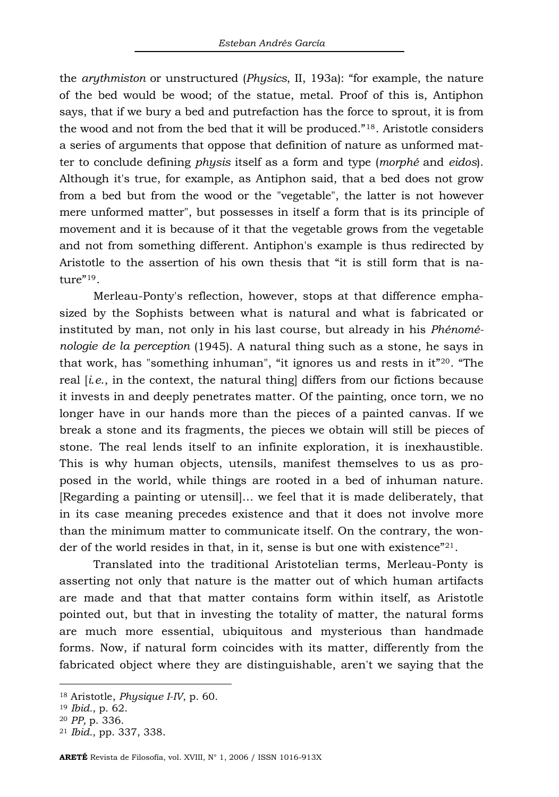the *arythmiston* or unstructured (*Physics*, II, 193a): "for example, the nature of the bed would be wood; of the statue, metal. Proof of this is, Antiphon says, that if we bury a bed and putrefaction has the force to sprout, it is from the wood and not from the bed that it will be produced."[18](#page-5-0). Aristotle considers a series of arguments that oppose that definition of nature as unformed matter to conclude defining *physis* itself as a form and type (*morphé* and *eidos*). Although it's true, for example, as Antiphon said, that a bed does not grow from a bed but from the wood or the "vegetable", the latter is not however mere unformed matter", but possesses in itself a form that is its principle of movement and it is because of it that the vegetable grows from the vegetable and not from something different. Antiphon's example is thus redirected by Aristotle to the assertion of his own thesis that "it is still form that is na-ture"<sup>[19](#page-5-1)</sup>.

Merleau-Ponty's reflection, however, stops at that difference emphasized by the Sophists between what is natural and what is fabricated or instituted by man, not only in his last course, but already in his *Phénoménologie de la perception* (1945). A natural thing such as a stone, he says in that work, has "something inhuman", "it ignores us and rests in it"[20](#page-5-2). "The real [*i*.*e*., in the context, the natural thing] differs from our fictions because it invests in and deeply penetrates matter. Of the painting, once torn, we no longer have in our hands more than the pieces of a painted canvas. If we break a stone and its fragments, the pieces we obtain will still be pieces of stone. The real lends itself to an infinite exploration, it is inexhaustible. This is why human objects, utensils, manifest themselves to us as proposed in the world, while things are rooted in a bed of inhuman nature. [Regarding a painting or utensil]… we feel that it is made deliberately, that in its case meaning precedes existence and that it does not involve more than the minimum matter to communicate itself. On the contrary, the won-der of the world resides in that, in it, sense is but one with existence"<sup>[21](#page-5-3)</sup>.

Translated into the traditional Aristotelian terms, Merleau-Ponty is asserting not only that nature is the matter out of which human artifacts are made and that that matter contains form within itself, as Aristotle pointed out, but that in investing the totality of matter, the natural forms are much more essential, ubiquitous and mysterious than handmade forms. Now, if natural form coincides with its matter, differently from the fabricated object where they are distinguishable, aren't we saying that the

<span id="page-5-0"></span><sup>18</sup> Aristotle, *Physique I-IV*, p. 60. 19 *Ibid.*, p. 62. 20 *PP,* p. 336. 21 *Ibid.*, pp. 337, 338.

<span id="page-5-1"></span>

<span id="page-5-2"></span>

<span id="page-5-3"></span>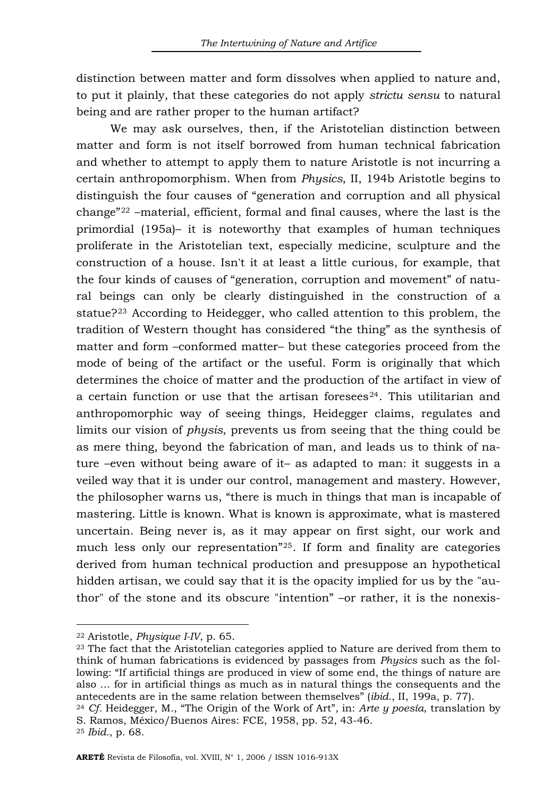distinction between matter and form dissolves when applied to nature and, to put it plainly, that these categories do not apply *strictu sensu* to natural being and are rather proper to the human artifact?

We may ask ourselves, then, if the Aristotelian distinction between matter and form is not itself borrowed from human technical fabrication and whether to attempt to apply them to nature Aristotle is not incurring a certain anthropomorphism. When from *Physics*, II, 194b Aristotle begins to distinguish the four causes of "generation and corruption and all physical change"[22](#page-6-0) –material, efficient, formal and final causes, where the last is the primordial (195a)– it is noteworthy that examples of human techniques proliferate in the Aristotelian text, especially medicine, sculpture and the construction of a house. Isn't it at least a little curious, for example, that the four kinds of causes of "generation, corruption and movement" of natural beings can only be clearly distinguished in the construction of a statue?[23](#page-6-1) According to Heidegger, who called attention to this problem, the tradition of Western thought has considered "the thing" as the synthesis of matter and form –conformed matter– but these categories proceed from the mode of being of the artifact or the useful. Form is originally that which determines the choice of matter and the production of the artifact in view of a certain function or use that the artisan foresees $24$ . This utilitarian and anthropomorphic way of seeing things, Heidegger claims, regulates and limits our vision of *physis*, prevents us from seeing that the thing could be as mere thing, beyond the fabrication of man, and leads us to think of nature –even without being aware of it– as adapted to man: it suggests in a veiled way that it is under our control, management and mastery. However, the philosopher warns us, "there is much in things that man is incapable of mastering. Little is known. What is known is approximate, what is mastered uncertain. Being never is, as it may appear on first sight, our work and much less only our representation"[25](#page-6-3). If form and finality are categories derived from human technical production and presuppose an hypothetical hidden artisan, we could say that it is the opacity implied for us by the "author" of the stone and its obscure "intention" –or rather, it is the nonexis-

<span id="page-6-1"></span><span id="page-6-0"></span><sup>&</sup>lt;sup>22</sup> Aristotle, *Physique I-IV*, p. 65.<br><sup>23</sup> The fact that the Aristotelian categories applied to Nature are derived from them to think of human fabrications is evidenced by passages from *Physics* such as the following: "If artificial things are produced in view of some end, the things of nature are also … for in artificial things as much as in natural things the consequents and the antecedents are in the same relation between themselves" (*ibid.*, II, 199a, p. 77). 24 *Cf.* Heidegger, M., "The Origin of the Work of Art", in: *Arte y poesía*, translation by

<span id="page-6-2"></span>S. Ramos, México/Buenos Aires: FCE, 1958, pp. 52, 43-46. 25 *Ibid.*, p. 68.

<span id="page-6-3"></span>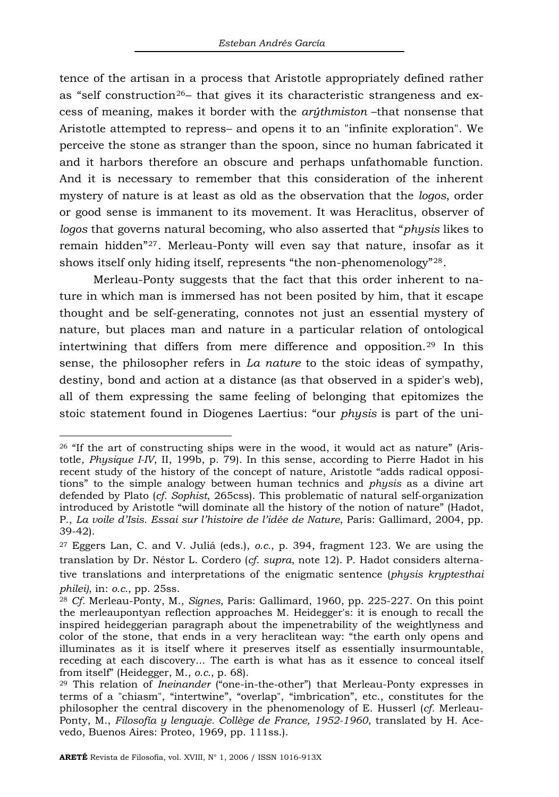tence of the artisan in a process that Aristotle appropriately defined rather as "self construction<sup>[26](#page-7-0)</sup>- that gives it its characteristic strangeness and excess of meaning, makes it border with the *arýthmiston* –that nonsense that Aristotle attempted to repress– and opens it to an "infinite exploration". We perceive the stone as stranger than the spoon, since no human fabricated it and it harbors therefore an obscure and perhaps unfathomable function. And it is necessary to remember that this consideration of the inherent mystery of nature is at least as old as the observation that the *logos*, order or good sense is immanent to its movement. It was Heraclitus, observer of *logos* that governs natural becoming, who also asserted that "*physis* likes to remain hidden"[27](#page-7-1). Merleau-Ponty will even say that nature, insofar as it shows itself only hiding itself, represents "the non-phenomenology"[28](#page-7-2).

Merleau-Ponty suggests that the fact that this order inherent to nature in which man is immersed has not been posited by him, that it escape thought and be self-generating, connotes not just an essential mystery of nature, but places man and nature in a particular relation of ontological intertwining that differs from mere difference and opposition.[29](#page-7-3) In this sense, the philosopher refers in *La nature* to the stoic ideas of sympathy, destiny, bond and action at a distance (as that observed in a spider's web), all of them expressing the same feeling of belonging that epitomizes the stoic statement found in Diogenes Laertius: "our *physis* is part of the uni-

<span id="page-7-0"></span><sup>26 &</sup>quot;If the art of constructing ships were in the wood, it would act as nature" (Aristotle, *Physique I-IV*, II, 199b, p. 79). In this sense, according to Pierre Hadot in his recent study of the history of the concept of nature, Aristotle "adds radical oppositions" to the simple analogy between human technics and *physis* as a divine art defended by Plato (*cf. Sophist*, 265css). This problematic of natural self-organization introduced by Aristotle "will dominate all the history of the notion of nature" (Hadot, P., *La voile d'Isis. Essai sur l'histoire de l'idée de Nature*, París: Gallimard, 2004, pp. 39-42).

<span id="page-7-1"></span><sup>27</sup> Eggers Lan, C. and V. Juliá (eds.), *o.c.*, p. 394, fragment 123. We are using the translation by Dr. Néstor L. Cordero (*cf*. *supra*, note 12). P. Hadot considers alternative translations and interpretations of the enigmatic sentence (*physis kryptesthai* 

<span id="page-7-2"></span>*philei)*, in: *o.c.*, pp. 25ss. 28 *Cf.* Merleau-Ponty, M., *Signes*, París: Gallimard, 1960, pp. 225-227. On this point the merleaupontyan reflection approaches M. Heidegger's: it is enough to recall the inspired heideggerian paragraph about the impenetrability of the weightlyness and color of the stone, that ends in a very heraclitean way: "the earth only opens and illuminates as it is itself where it preserves itself as essentially insurmountable, receding at each discovery... The earth is what has as it essence to conceal itself from itself" (Heidegger, M., *o.c.*, p. 68). 29 This relation of *Ineinander* ("one-in-the-other") that Merleau-Ponty expresses in

<span id="page-7-3"></span>terms of a "chiasm", "intertwine", "overlap", "imbrication", etc., constitutes for the philosopher the central discovery in the phenomenology of E. Husserl (*cf.* Merleau-Ponty, M., *Filosofía y lenguaje. Collège de France, 1952-1960*, translated by H. Acevedo, Buenos Aires: Proteo, 1969, pp. 111ss.).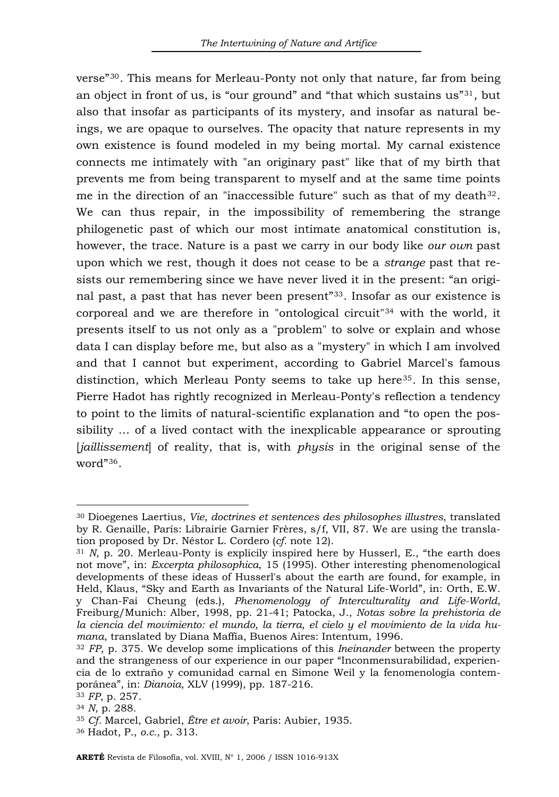verse"[30](#page-8-0). This means for Merleau-Ponty not only that nature, far from being an object in front of us, is "our ground" and "that which sustains  $us^{\prime\prime}31$  $us^{\prime\prime}31$ , but also that insofar as participants of its mystery, and insofar as natural beings, we are opaque to ourselves. The opacity that nature represents in my own existence is found modeled in my being mortal. My carnal existence connects me intimately with "an originary past" like that of my birth that prevents me from being transparent to myself and at the same time points me in the direction of an "inaccessible future" such as that of my death $32$ . We can thus repair, in the impossibility of remembering the strange philogenetic past of which our most intimate anatomical constitution is, however, the trace. Nature is a past we carry in our body like *our own* past upon which we rest, though it does not cease to be a *strange* past that resists our remembering since we have never lived it in the present: "an original past, a past that has never been present"[33](#page-8-3). Insofar as our existence is corporeal and we are therefore in "ontological circuit"[34](#page-8-4) with the world, it presents itself to us not only as a "problem" to solve or explain and whose data I can display before me, but also as a "mystery" in which I am involved and that I cannot but experiment, according to Gabriel Marcel's famous distinction, which Merleau Ponty seems to take up here<sup>[35](#page-8-5)</sup>. In this sense, Pierre Hadot has rightly recognized in Merleau-Ponty's reflection a tendency to point to the limits of natural-scientific explanation and "to open the possibility … of a lived contact with the inexplicable appearance or sprouting [*jaillissement*] of reality, that is, with *physis* in the original sense of the word"[36](#page-8-6).

<span id="page-8-0"></span><sup>30</sup> Dioegenes Laertius, *Vie, doctrines et sentences des philosophes illustres*, translated by R. Genaille, París: Librairie Garnier Frères, s/f, VII, 87. We are using the translation proposed by Dr. Néstor L. Cordero (*cf.* note 12).<br><sup>31</sup> *N*, p. 20. Merleau-Ponty is explicily inspired here by Husserl, E., "the earth does

<span id="page-8-1"></span>not move", in: *Excerpta philosophica*, 15 (1995). Other interesting phenomenological developments of these ideas of Husserl's about the earth are found, for example, in Held, Klaus, "Sky and Earth as Invariants of the Natural Life-World", in: Orth, E.W. y Chan-Fai Cheung (eds.), *Phenomenology of Interculturality and Life-World*, Freiburg/Munich: Alber, 1998, pp. 21-41; Patocka, J., *Notas sobre la prehistoria de la ciencia del movimiento: el mundo, la tierra, el cielo y el movimiento de la vida hu-*

<span id="page-8-2"></span><sup>&</sup>lt;sup>32</sup> *FP*, p. 375. We develop some implications of this *Ineinander* between the property and the strangeness of our experience in our paper "Inconmensurabilidad, experiencia de lo extraño y comunidad carnal en Simone Weil y la fenomenología contemporánea", in: *Dianoia*, XLV (1999), pp. 187-216. 33 *FP*, p. 257. 34 *<sup>N</sup>*, p. 288. 35 *Cf.* Marcel, Gabriel, *Être et avoir*, Paris: Aubier, 1935. 36 Hadot, P., *o.c.*, p. 313.

<span id="page-8-4"></span><span id="page-8-3"></span>

<span id="page-8-5"></span>

<span id="page-8-6"></span>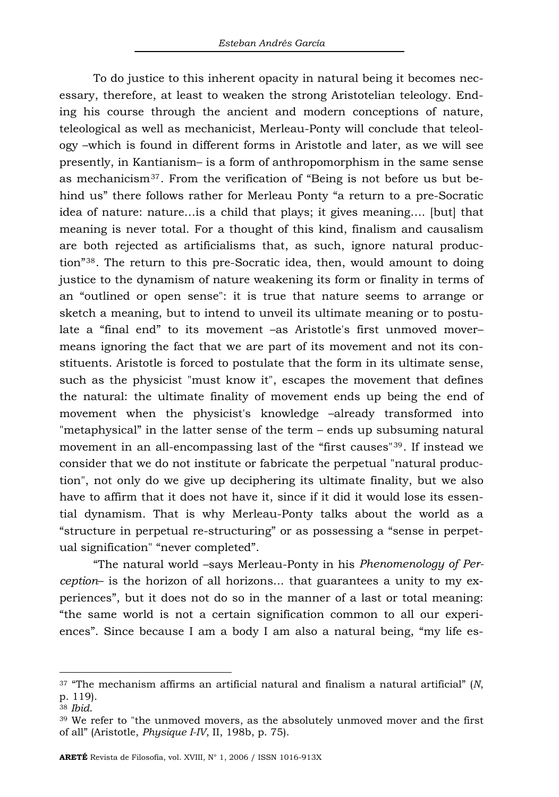To do justice to this inherent opacity in natural being it becomes necessary, therefore, at least to weaken the strong Aristotelian teleology. Ending his course through the ancient and modern conceptions of nature, teleological as well as mechanicist, Merleau-Ponty will conclude that teleology –which is found in different forms in Aristotle and later, as we will see presently, in Kantianism– is a form of anthropomorphism in the same sense as mechanicism[37](#page-9-0). From the verification of "Being is not before us but behind us" there follows rather for Merleau Ponty "a return to a pre-Socratic idea of nature: nature…is a child that plays; it gives meaning…. [but] that meaning is never total. For a thought of this kind, finalism and causalism are both rejected as artificialisms that, as such, ignore natural production"[38](#page-9-1). The return to this pre-Socratic idea, then, would amount to doing justice to the dynamism of nature weakening its form or finality in terms of an "outlined or open sense": it is true that nature seems to arrange or sketch a meaning, but to intend to unveil its ultimate meaning or to postulate a "final end" to its movement –as Aristotle's first unmoved mover– means ignoring the fact that we are part of its movement and not its constituents. Aristotle is forced to postulate that the form in its ultimate sense, such as the physicist "must know it", escapes the movement that defines the natural: the ultimate finality of movement ends up being the end of movement when the physicist's knowledge –already transformed into "metaphysical" in the latter sense of the term – ends up subsuming natural movement in an all-encompassing last of the "first causes"[39](#page-9-2). If instead we consider that we do not institute or fabricate the perpetual "natural production", not only do we give up deciphering its ultimate finality, but we also have to affirm that it does not have it, since if it did it would lose its essential dynamism. That is why Merleau-Ponty talks about the world as a "structure in perpetual re-structuring" or as possessing a "sense in perpetual signification" "never completed".

"The natural world –says Merleau-Ponty in his *Phenomenology of Perception*– is the horizon of all horizons... that guarantees a unity to my experiences", but it does not do so in the manner of a last or total meaning: "the same world is not a certain signification common to all our experiences". Since because I am a body I am also a natural being, "my life es-

<span id="page-9-0"></span><sup>37 &</sup>quot;The mechanism affirms an artificial natural and finalism a natural artificial" (*N*, p. 119).

<span id="page-9-2"></span><span id="page-9-1"></span><sup>38</sup> *Ibid*. 39 We refer to "the unmoved movers, as the absolutely unmoved mover and the first of all" (Aristotle, *Physique I-IV*, II, 198b, p. 75).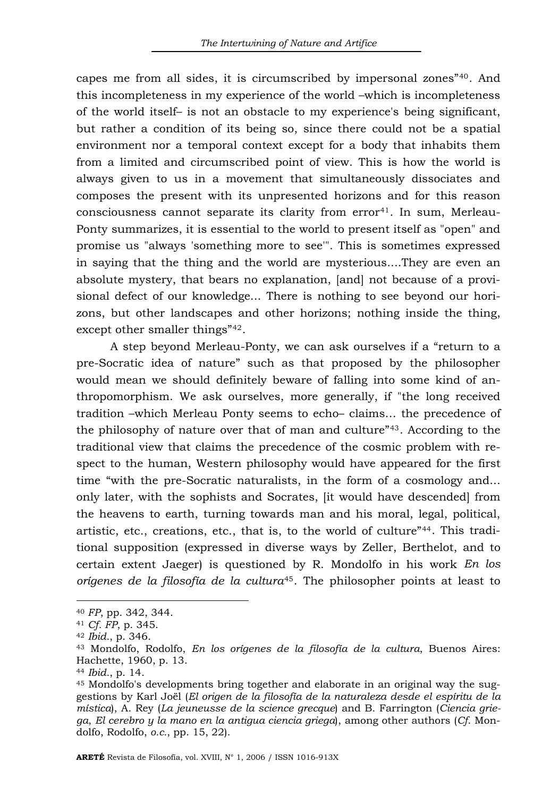capes me from all sides, it is circumscribed by impersonal zones"[40](#page-10-0). And this incompleteness in my experience of the world –which is incompleteness of the world itself– is not an obstacle to my experience's being significant, but rather a condition of its being so, since there could not be a spatial environment nor a temporal context except for a body that inhabits them from a limited and circumscribed point of view. This is how the world is always given to us in a movement that simultaneously dissociates and composes the present with its unpresented horizons and for this reason  $consciousness cannot separate its clarity from error<sup>41</sup>. In sum, Merleau consciousness cannot separate its clarity from error<sup>41</sup>. In sum, Merleau consciousness cannot separate its clarity from error<sup>41</sup>. In sum, Merleau-$ Ponty summarizes, it is essential to the world to present itself as "open" and promise us "always 'something more to see'". This is sometimes expressed in saying that the thing and the world are mysterious....They are even an absolute mystery, that bears no explanation, [and] not because of a provisional defect of our knowledge... There is nothing to see beyond our horizons, but other landscapes and other horizons; nothing inside the thing, except other smaller things"[42](#page-10-2).

A step beyond Merleau-Ponty, we can ask ourselves if a "return to a pre-Socratic idea of nature" such as that proposed by the philosopher would mean we should definitely beware of falling into some kind of anthropomorphism. We ask ourselves, more generally, if "the long received tradition –which Merleau Ponty seems to echo– claims… the precedence of the philosophy of nature over that of man and culture"[43](#page-10-3). According to the traditional view that claims the precedence of the cosmic problem with respect to the human, Western philosophy would have appeared for the first time "with the pre-Socratic naturalists, in the form of a cosmology and... only later, with the sophists and Socrates, [it would have descended] from the heavens to earth, turning towards man and his moral, legal, political, artistic, etc., creations, etc., that is, to the world of culture"[44](#page-10-4). This traditional supposition (expressed in diverse ways by Zeller, Berthelot, and to certain extent Jaeger) is questioned by R. Mondolfo in his work *En los orígenes de la filosofía de la cultura*[45](#page-10-5). The philosopher points at least to

<span id="page-10-3"></span><span id="page-10-2"></span>

<span id="page-10-1"></span><span id="page-10-0"></span><sup>40</sup> *FP*, pp. 342, 344. 41 *Cf. FP*, p. 345. 42 *Ibid.*, p. 346. 43 Mondolfo, Rodolfo, *En los orígenes de la filosofía de la cultura*, Buenos Aires: Hachette, 1960, p. 13.

<span id="page-10-5"></span><span id="page-10-4"></span><sup>&</sup>lt;sup>44</sup> *Ibid.*, p. 14.<br><sup>45</sup> Mondolfo's developments bring together and elaborate in an original way the suggestions by Karl Joël (*El origen de la filosofía de la naturaleza desde el espíritu de la mística*), A. Rey (*La jeuneusse de la science grecque*) and B. Farrington (*Ciencia griega*, *El cerebro y la mano en la antigua ciencia griega*), among other authors (*Cf*. Mondolfo, Rodolfo, *o.c.*, pp. 15, 22).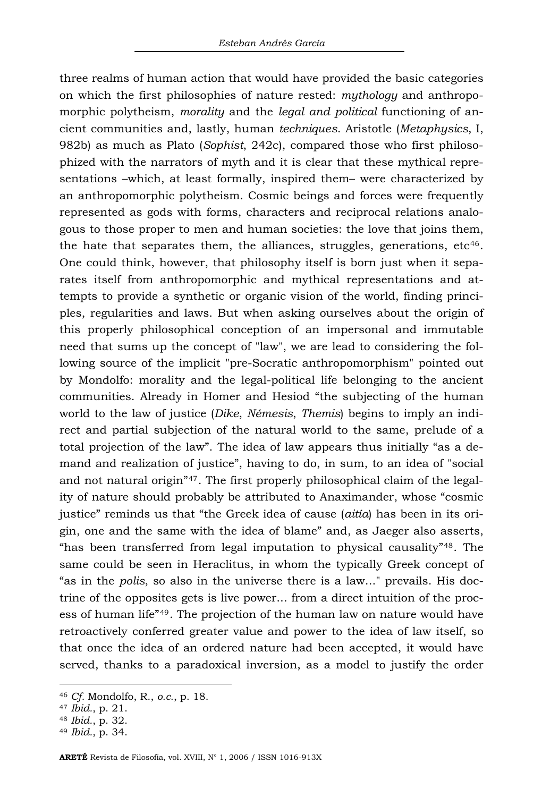three realms of human action that would have provided the basic categories on which the first philosophies of nature rested: *mythology* and anthropomorphic polytheism, *morality* and the *legal and political* functioning of ancient communities and, lastly, human *techniques*. Aristotle (*Metaphysics*, I, 982b) as much as Plato (*Sophist*, 242c), compared those who first philosophized with the narrators of myth and it is clear that these mythical representations –which, at least formally, inspired them– were characterized by an anthropomorphic polytheism. Cosmic beings and forces were frequently represented as gods with forms, characters and reciprocal relations analogous to those proper to men and human societies: the love that joins them, the hate that separates them, the alliances, struggles, generations,  $etc<sup>46</sup>$  $etc<sup>46</sup>$  $etc<sup>46</sup>$ . One could think, however, that philosophy itself is born just when it separates itself from anthropomorphic and mythical representations and attempts to provide a synthetic or organic vision of the world, finding principles, regularities and laws. But when asking ourselves about the origin of this properly philosophical conception of an impersonal and immutable need that sums up the concept of "law", we are lead to considering the following source of the implicit "pre-Socratic anthropomorphism" pointed out by Mondolfo: morality and the legal-political life belonging to the ancient communities. Already in Homer and Hesiod "the subjecting of the human world to the law of justice (*Dike*, *Némesis*, *Themis*) begins to imply an indirect and partial subjection of the natural world to the same, prelude of a total projection of the law". The idea of law appears thus initially "as a demand and realization of justice", having to do, in sum, to an idea of "social and not natural origin"[47](#page-11-1). The first properly philosophical claim of the legality of nature should probably be attributed to Anaximander, whose "cosmic justice" reminds us that "the Greek idea of cause (*aitía*) has been in its origin, one and the same with the idea of blame" and, as Jaeger also asserts, "has been transferred from legal imputation to physical causality"[48](#page-11-2). The same could be seen in Heraclitus, in whom the typically Greek concept of "as in the *polis*, so also in the universe there is a law..." prevails. His doctrine of the opposites gets is live power... from a direct intuition of the process of human life"[49](#page-11-3). The projection of the human law on nature would have retroactively conferred greater value and power to the idea of law itself, so that once the idea of an ordered nature had been accepted, it would have served, thanks to a paradoxical inversion, as a model to justify the order

<span id="page-11-0"></span><sup>46</sup> *Cf.* Mondolfo, R., *o.c.*, p. 18. 47 *Ibid.*, p. 21. 48 *Ibid.*, p. 32. 49 *Ibid.*, p. 34.

<span id="page-11-1"></span>

<span id="page-11-2"></span>

<span id="page-11-3"></span>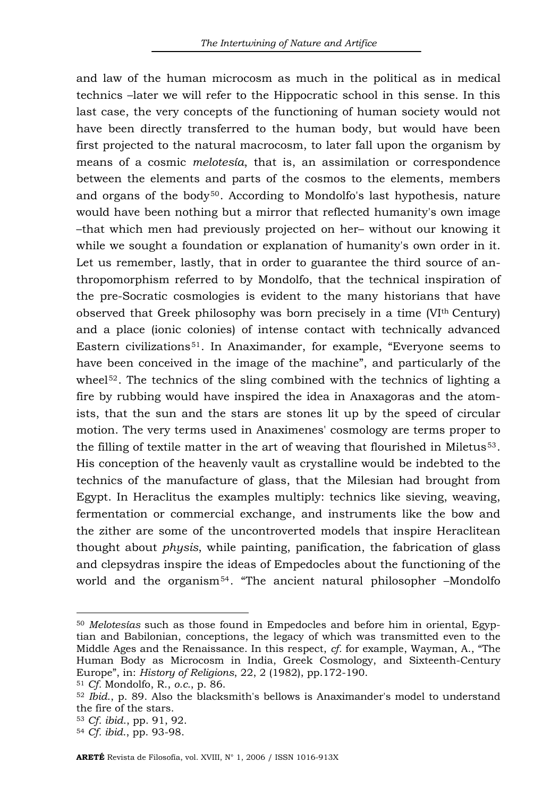and law of the human microcosm as much in the political as in medical technics –later we will refer to the Hippocratic school in this sense. In this last case, the very concepts of the functioning of human society would not have been directly transferred to the human body, but would have been first projected to the natural macrocosm, to later fall upon the organism by means of a cosmic *melotesía*, that is, an assimilation or correspondence between the elements and parts of the cosmos to the elements, members and organs of the body $50$ . According to Mondolfo's last hypothesis, nature would have been nothing but a mirror that reflected humanity's own image –that which men had previously projected on her– without our knowing it while we sought a foundation or explanation of humanity's own order in it. Let us remember, lastly, that in order to guarantee the third source of anthropomorphism referred to by Mondolfo, that the technical inspiration of the pre-Socratic cosmologies is evident to the many historians that have observed that Greek philosophy was born precisely in a time (VIth Century) and a place (ionic colonies) of intense contact with technically advanced Eastern civilizations[51](#page-12-1). In Anaximander, for example, "Everyone seems to have been conceived in the image of the machine", and particularly of the wheel<sup>[52](#page-12-2)</sup>. The technics of the sling combined with the technics of lighting a fire by rubbing would have inspired the idea in Anaxagoras and the atomists, that the sun and the stars are stones lit up by the speed of circular motion. The very terms used in Anaximenes' cosmology are terms proper to the filling of textile matter in the art of weaving that flourished in Miletus<sup>[53](#page-12-3)</sup>. His conception of the heavenly vault as crystalline would be indebted to the technics of the manufacture of glass, that the Milesian had brought from Egypt. In Heraclitus the examples multiply: technics like sieving, weaving, fermentation or commercial exchange, and instruments like the bow and the zither are some of the uncontroverted models that inspire Heraclitean thought about *physis*, while painting, panification, the fabrication of glass and clepsydras inspire the ideas of Empedocles about the functioning of the world and the organism<sup>[54](#page-12-4)</sup>. "The ancient natural philosopher -Mondolfo

<span id="page-12-0"></span><sup>50</sup> *Melotesías* such as those found in Empedocles and before him in oriental, Egyptian and Babilonian, conceptions, the legacy of which was transmitted even to the Middle Ages and the Renaissance. In this respect, *cf.* for example, Wayman, A., "The Human Body as Microcosm in India, Greek Cosmology, and Sixteenth-Century Europe", in: *History of Religions*, 22, 2 (1982), pp.172-190.<br><sup>51</sup> *Cf.* Mondolfo, R., *o.c.*, p. 86.<br><sup>52</sup> *Ibid.*, p. 89. Also the blacksmith's bellows is Anaximander's model to understand

<span id="page-12-1"></span>

<span id="page-12-2"></span>the fire of the stars.

<span id="page-12-3"></span><sup>53</sup> *Cf. ibid*., pp. 91, 92. 54 *Cf. ibid*., pp. 93-98.

<span id="page-12-4"></span>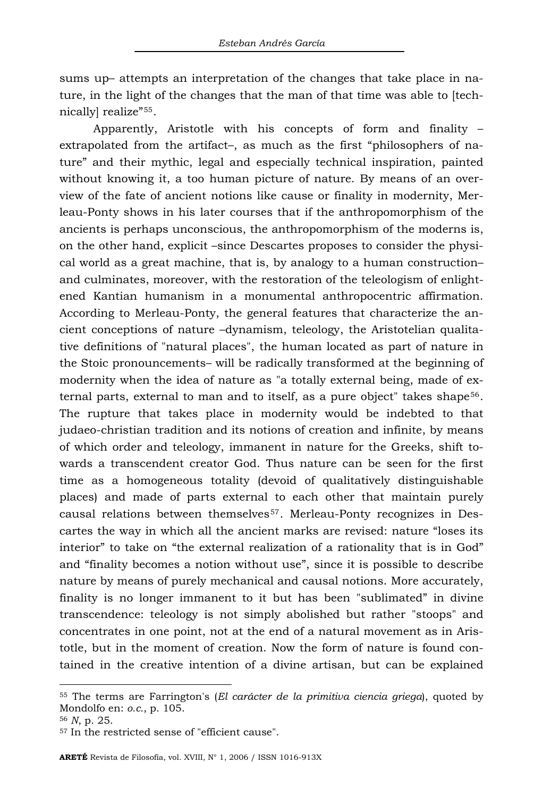sums up– attempts an interpretation of the changes that take place in nature, in the light of the changes that the man of that time was able to [technically] realize"[55](#page-13-0).

Apparently, Aristotle with his concepts of form and finality – extrapolated from the artifact–, as much as the first "philosophers of nature" and their mythic, legal and especially technical inspiration, painted without knowing it, a too human picture of nature. By means of an overview of the fate of ancient notions like cause or finality in modernity, Merleau-Ponty shows in his later courses that if the anthropomorphism of the ancients is perhaps unconscious, the anthropomorphism of the moderns is, on the other hand, explicit –since Descartes proposes to consider the physical world as a great machine, that is, by analogy to a human construction– and culminates, moreover, with the restoration of the teleologism of enlightened Kantian humanism in a monumental anthropocentric affirmation. According to Merleau-Ponty, the general features that characterize the ancient conceptions of nature –dynamism, teleology, the Aristotelian qualitative definitions of "natural places", the human located as part of nature in the Stoic pronouncements– will be radically transformed at the beginning of modernity when the idea of nature as "a totally external being, made of ex-ternal parts, external to man and to itself, as a pure object" takes shape<sup>[56](#page-13-1)</sup>. The rupture that takes place in modernity would be indebted to that judaeo-christian tradition and its notions of creation and infinite, by means of which order and teleology, immanent in nature for the Greeks, shift towards a transcendent creator God. Thus nature can be seen for the first time as a homogeneous totality (devoid of qualitatively distinguishable places) and made of parts external to each other that maintain purely causal relations between themselves[57](#page-13-2). Merleau-Ponty recognizes in Descartes the way in which all the ancient marks are revised: nature "loses its interior" to take on "the external realization of a rationality that is in God" and "finality becomes a notion without use", since it is possible to describe nature by means of purely mechanical and causal notions. More accurately, finality is no longer immanent to it but has been "sublimated" in divine transcendence: teleology is not simply abolished but rather "stoops" and concentrates in one point, not at the end of a natural movement as in Aristotle, but in the moment of creation. Now the form of nature is found contained in the creative intention of a divine artisan, but can be explained

<span id="page-13-0"></span><sup>55</sup> The terms are Farrington's (*El carácter de la primitiva ciencia griega*), quoted by Mondolfo en: *o.c.*, p. 105.<br><sup>56</sup> *N*, p. 25.<br><sup>57</sup> In the restricted sense of "efficient cause".

<span id="page-13-1"></span>

<span id="page-13-2"></span>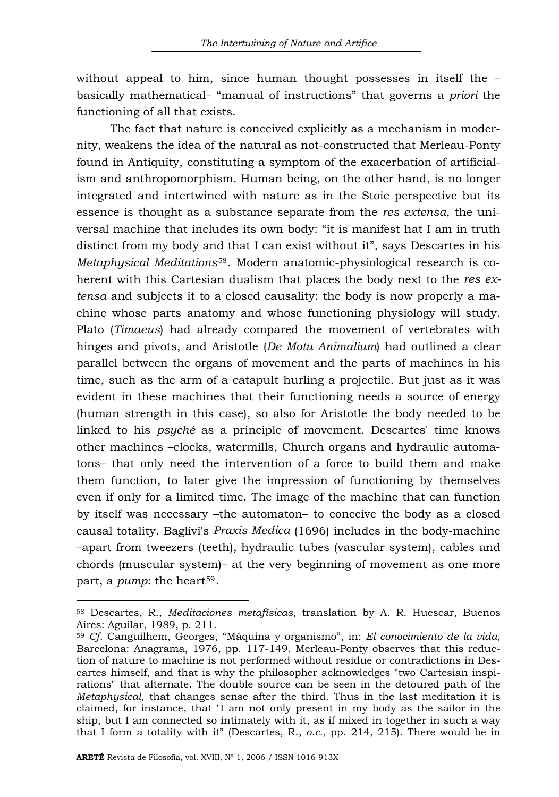without appeal to him, since human thought possesses in itself the – basically mathematical– "manual of instructions" that governs a *priori* the functioning of all that exists.

The fact that nature is conceived explicitly as a mechanism in modernity, weakens the idea of the natural as not-constructed that Merleau-Ponty found in Antiquity, constituting a symptom of the exacerbation of artificialism and anthropomorphism. Human being, on the other hand, is no longer integrated and intertwined with nature as in the Stoic perspective but its essence is thought as a substance separate from the *res extensa*, the universal machine that includes its own body: "it is manifest hat I am in truth distinct from my body and that I can exist without it", says Descartes in his *Metaphysical Meditations*[58](#page-14-0). Modern anatomic-physiological research is coherent with this Cartesian dualism that places the body next to the *res extensa* and subjects it to a closed causality: the body is now properly a machine whose parts anatomy and whose functioning physiology will study. Plato (*Timaeus*) had already compared the movement of vertebrates with hinges and pivots, and Aristotle (*De Motu Animalium*) had outlined a clear parallel between the organs of movement and the parts of machines in his time, such as the arm of a catapult hurling a projectile. But just as it was evident in these machines that their functioning needs a source of energy (human strength in this case), so also for Aristotle the body needed to be linked to his *psyché* as a principle of movement. Descartes' time knows other machines –clocks, watermills, Church organs and hydraulic automatons– that only need the intervention of a force to build them and make them function, to later give the impression of functioning by themselves even if only for a limited time. The image of the machine that can function by itself was necessary –the automaton– to conceive the body as a closed causal totality. Baglivi's *Praxis Medica* (1696) includes in the body-machine –apart from tweezers (teeth), hydraulic tubes (vascular system), cables and chords (muscular system)– at the very beginning of movement as one more part, a *pump*: the heart<sup>[59](#page-14-1)</sup>.

<span id="page-14-0"></span><sup>58</sup> Descartes, R., *Meditaciones metafísicas*, translation by A. R. Huescar, Buenos Aires: Aguilar, 1989, p. 211.

<span id="page-14-1"></span><sup>59</sup> *Cf.* Canguilhem, Georges, "Máquina y organismo", in: *El conocimiento de la vida*, Barcelona: Anagrama, 1976, pp. 117-149. Merleau-Ponty observes that this reduction of nature to machine is not performed without residue or contradictions in Descartes himself, and that is why the philosopher acknowledges "two Cartesian inspirations" that alternate. The double source can be seen in the detoured path of the *Metaphysical*, that changes sense after the third. Thus in the last meditation it is claimed, for instance, that "I am not only present in my body as the sailor in the ship, but I am connected so intimately with it, as if mixed in together in such a way that I form a totality with it" (Descartes, R., *o.c.*, pp. 214, 215). There would be in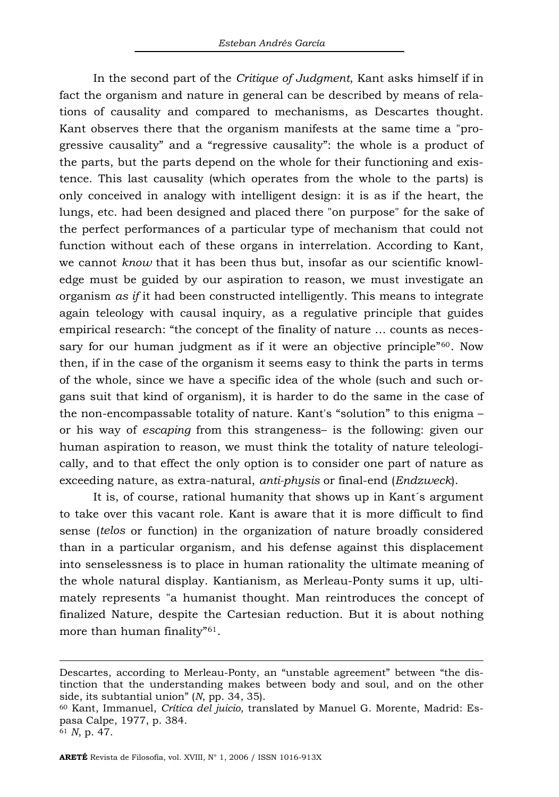In the second part of the *Critique of Judgment*, Kant asks himself if in fact the organism and nature in general can be described by means of relations of causality and compared to mechanisms, as Descartes thought. Kant observes there that the organism manifests at the same time a "progressive causality" and a "regressive causality": the whole is a product of the parts, but the parts depend on the whole for their functioning and existence. This last causality (which operates from the whole to the parts) is only conceived in analogy with intelligent design: it is as if the heart, the lungs, etc. had been designed and placed there "on purpose" for the sake of the perfect performances of a particular type of mechanism that could not function without each of these organs in interrelation. According to Kant, we cannot *know* that it has been thus but, insofar as our scientific knowledge must be guided by our aspiration to reason, we must investigate an organism *as if* it had been constructed intelligently. This means to integrate again teleology with causal inquiry, as a regulative principle that guides empirical research: "the concept of the finality of nature … counts as neces-sary for our human judgment as if it were an objective principle<sup>"[60](#page-15-0)</sup>. Now then, if in the case of the organism it seems easy to think the parts in terms of the whole, since we have a specific idea of the whole (such and such organs suit that kind of organism), it is harder to do the same in the case of the non-encompassable totality of nature. Kant's "solution" to this enigma – or his way of *escaping* from this strangeness– is the following: given our human aspiration to reason, we must think the totality of nature teleologically, and to that effect the only option is to consider one part of nature as exceeding nature, as extra-natural, *anti-physis* or final-end (*Endzweck*).

It is, of course, rational humanity that shows up in Kant´s argument to take over this vacant role. Kant is aware that it is more difficult to find sense (*telos* or function) in the organization of nature broadly considered than in a particular organism, and his defense against this displacement into senselessness is to place in human rationality the ultimate meaning of the whole natural display. Kantianism, as Merleau-Ponty sums it up, ultimately represents "a humanist thought. Man reintroduces the concept of finalized Nature, despite the Cartesian reduction. But it is about nothing more than human finality"[61](#page-15-1).

Descartes, according to Merleau-Ponty, an "unstable agreement" between "the distinction that the understanding makes between body and soul, and on the other side, its subtantial union" (*N*, pp. 34, 35).<br><sup>60</sup> Kant, Immanuel, *Crítica del juicio*, translated by Manuel G. Morente, Madrid: Es-

<span id="page-15-0"></span>pasa Calpe, 1977, p. 384.

<span id="page-15-1"></span><sup>61</sup> *N*, p. 47.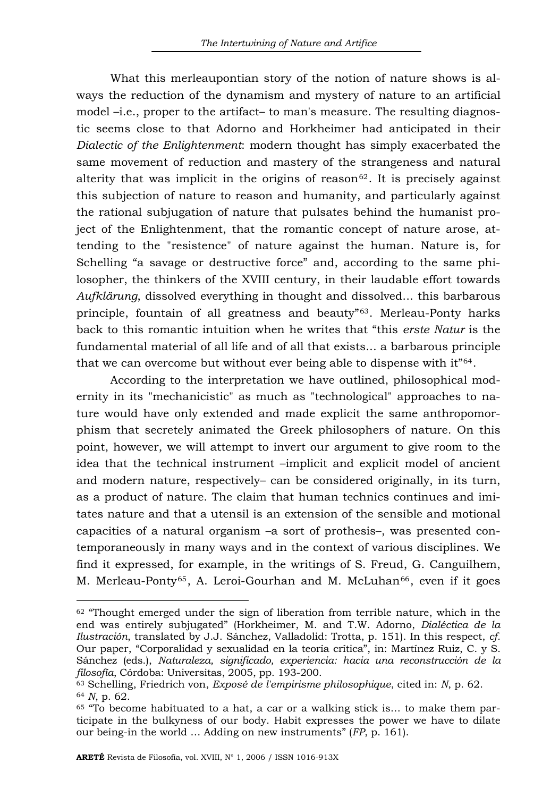What this merleaupontian story of the notion of nature shows is always the reduction of the dynamism and mystery of nature to an artificial model –i.e., proper to the artifact– to man's measure. The resulting diagnostic seems close to that Adorno and Horkheimer had anticipated in their *Dialectic of the Enlightenment*: modern thought has simply exacerbated the same movement of reduction and mastery of the strangeness and natural alterity that was implicit in the origins of reason<sup>[62](#page-16-0)</sup>. It is precisely against this subjection of nature to reason and humanity, and particularly against the rational subjugation of nature that pulsates behind the humanist project of the Enlightenment, that the romantic concept of nature arose, attending to the "resistence" of nature against the human. Nature is, for Schelling "a savage or destructive force" and, according to the same philosopher, the thinkers of the XVIII century, in their laudable effort towards *Aufklärung*, dissolved everything in thought and dissolved... this barbarous principle, fountain of all greatness and beauty"[63](#page-16-1). Merleau-Ponty harks back to this romantic intuition when he writes that "this *erste Natur* is the fundamental material of all life and of all that exists... a barbarous principle that we can overcome but without ever being able to dispense with it"[64](#page-16-2).

According to the interpretation we have outlined, philosophical modernity in its "mechanicistic" as much as "technological" approaches to nature would have only extended and made explicit the same anthropomorphism that secretely animated the Greek philosophers of nature. On this point, however, we will attempt to invert our argument to give room to the idea that the technical instrument –implicit and explicit model of ancient and modern nature, respectively– can be considered originally, in its turn, as a product of nature. The claim that human technics continues and imitates nature and that a utensil is an extension of the sensible and motional capacities of a natural organism –a sort of prothesis–, was presented contemporaneously in many ways and in the context of various disciplines. We find it expressed, for example, in the writings of S. Freud, G. Canguilhem, M. Merleau-Ponty<sup>[65](#page-16-3)</sup>, A. Leroi-Gourhan and M. McLuhan<sup>[66](#page-16-4)</sup>, even if it goes

<span id="page-16-4"></span><span id="page-16-0"></span> $62$  "Thought emerged under the sign of liberation from terrible nature, which in the end was entirely subjugated" (Horkheimer, M. and T.W. Adorno, *Dialéctica de la Ilustración*, translated by J.J. Sánchez, Valladolid: Trotta, p. 151). In this respect, *cf.* Our paper, "Corporalidad y sexualidad en la teoría crítica", in: Martínez Ruiz, C. y S. Sánchez (eds.), *Naturaleza, significado, experiencia: hacia una reconstrucción de la* 

<span id="page-16-2"></span><span id="page-16-1"></span><sup>&</sup>lt;sup>63</sup> Schelling, Friedrich von, *Exposé de l'empirisme philosophique*, cited in: *N*, p. 62.<br><sup>64</sup> *N*, p. 62.<br><sup>65</sup> "To become habituated to a hat, a car or a walking stick is... to make them par-

<span id="page-16-3"></span>ticipate in the bulkyness of our body. Habit expresses the power we have to dilate our being-in the world … Adding on new instruments" (*FP*, p. 161).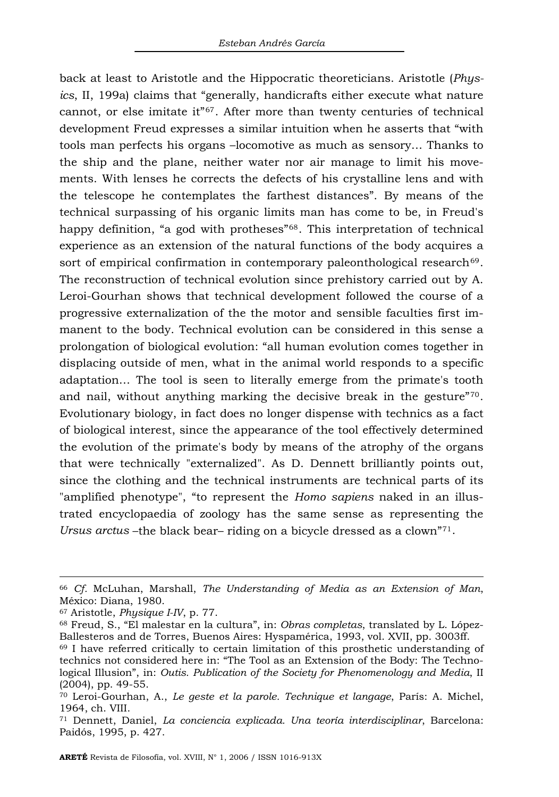back at least to Aristotle and the Hippocratic theoreticians. Aristotle (*Physics*, II, 199a) claims that "generally, handicrafts either execute what nature cannot, or else imitate it"[67](#page-17-0). After more than twenty centuries of technical development Freud expresses a similar intuition when he asserts that "with tools man perfects his organs –locomotive as much as sensory… Thanks to the ship and the plane, neither water nor air manage to limit his movements. With lenses he corrects the defects of his crystalline lens and with the telescope he contemplates the farthest distances". By means of the technical surpassing of his organic limits man has come to be, in Freud's happy definition, "a god with protheses"<sup>[68](#page-17-1)</sup>. This interpretation of technical experience as an extension of the natural functions of the body acquires a sort of empirical confirmation in contemporary paleonthological research<sup>[69](#page-17-2)</sup>. The reconstruction of technical evolution since prehistory carried out by A. Leroi-Gourhan shows that technical development followed the course of a progressive externalization of the the motor and sensible faculties first immanent to the body. Technical evolution can be considered in this sense a prolongation of biological evolution: "all human evolution comes together in displacing outside of men, what in the animal world responds to a specific adaptation… The tool is seen to literally emerge from the primate's tooth and nail, without anything marking the decisive break in the gesture"[70](#page-17-3). Evolutionary biology, in fact does no longer dispense with technics as a fact of biological interest, since the appearance of the tool effectively determined the evolution of the primate's body by means of the atrophy of the organs that were technically "externalized". As D. Dennett brilliantly points out, since the clothing and the technical instruments are technical parts of its "amplified phenotype", "to represent the *Homo sapiens* naked in an illustrated encyclopaedia of zoology has the same sense as representing the *Ursus arctus* –the black bear– riding on a bicycle dressed as a clown"[71](#page-17-4).

<sup>66</sup> *Cf.* McLuhan, Marshall, *The Understanding of Media as an Extension of Man*, México: Diana, 1980.

<span id="page-17-1"></span><span id="page-17-0"></span><sup>&</sup>lt;sup>67</sup> Aristotle, *Physique I-IV*, p. 77.<br><sup>68</sup> Freud, S., "El malestar en la cultura", in: *Obras completas*, translated by L. López-<br>Ballesteros and de Torres, Buenos Aires: Hyspamérica, 1993, vol. XVII, pp. 3003ff.

<span id="page-17-2"></span> $69$  I have referred critically to certain limitation of this prosthetic understanding of technics not considered here in: "The Tool as an Extension of the Body: The Technological Illusion", in: *Outis. Publication of the Society for Phenomenology and Media*, II (2004), pp. 49-55.

<span id="page-17-3"></span><sup>70</sup> Leroi-Gourhan, A., *Le geste et la parole. Technique et langage*, París: A. Michel, 1964, ch. VIII.

<span id="page-17-4"></span><sup>71</sup> Dennett, Daniel, *La conciencia explicada. Una teoría interdisciplinar*, Barcelona: Paidós, 1995, p. 427.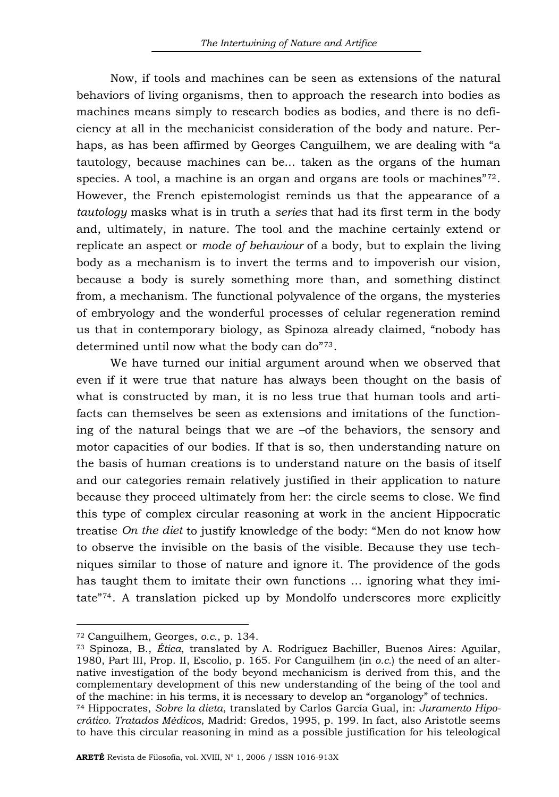Now, if tools and machines can be seen as extensions of the natural behaviors of living organisms, then to approach the research into bodies as machines means simply to research bodies as bodies, and there is no deficiency at all in the mechanicist consideration of the body and nature. Perhaps, as has been affirmed by Georges Canguilhem, we are dealing with "a tautology, because machines can be... taken as the organs of the human species. A tool, a machine is an organ and organs are tools or machines"<sup>[72](#page-18-0)</sup>. However, the French epistemologist reminds us that the appearance of a *tautology* masks what is in truth a *series* that had its first term in the body and, ultimately, in nature. The tool and the machine certainly extend or replicate an aspect or *mode of behaviour* of a body, but to explain the living body as a mechanism is to invert the terms and to impoverish our vision, because a body is surely something more than, and something distinct from, a mechanism. The functional polyvalence of the organs, the mysteries of embryology and the wonderful processes of celular regeneration remind us that in contemporary biology, as Spinoza already claimed, "nobody has determined until now what the body can do"[73](#page-18-1).

We have turned our initial argument around when we observed that even if it were true that nature has always been thought on the basis of what is constructed by man, it is no less true that human tools and artifacts can themselves be seen as extensions and imitations of the functioning of the natural beings that we are –of the behaviors, the sensory and motor capacities of our bodies. If that is so, then understanding nature on the basis of human creations is to understand nature on the basis of itself and our categories remain relatively justified in their application to nature because they proceed ultimately from her: the circle seems to close. We find this type of complex circular reasoning at work in the ancient Hippocratic treatise *On the diet* to justify knowledge of the body: "Men do not know how to observe the invisible on the basis of the visible. Because they use techniques similar to those of nature and ignore it. The providence of the gods has taught them to imitate their own functions … ignoring what they imitate"[74](#page-18-2). A translation picked up by Mondolfo underscores more explicitly

l

<span id="page-18-1"></span><span id="page-18-0"></span><sup>72</sup> Canguilhem, Georges, *o.c.*, p. 134.<br><sup>73</sup> Spinoza, B., *Ética*, translated by A. Rodríguez Bachiller, Buenos Aires: Aguilar, 1980, Part III, Prop. II, Escolio, p. 165. For Canguilhem (in *o.c.*) the need of an alternative investigation of the body beyond mechanicism is derived from this, and the complementary development of this new understanding of the being of the tool and of the machine: in his terms, it is necessary to develop an "organology" of technics.

<span id="page-18-2"></span><sup>74</sup> Hippocrates, *Sobre la dieta*, translated by Carlos García Gual, in: *Juramento Hipocrático. Tratados Médicos*, Madrid: Gredos, 1995, p. 199. In fact, also Aristotle seems to have this circular reasoning in mind as a possible justification for his teleological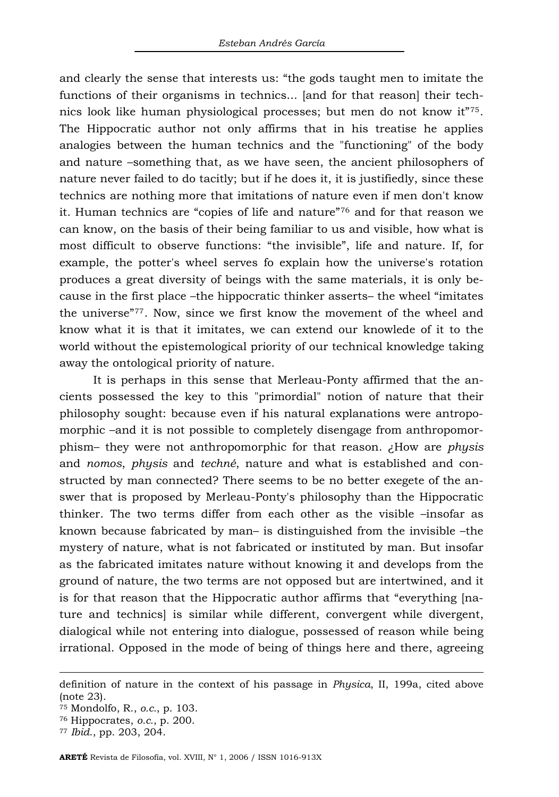and clearly the sense that interests us: "the gods taught men to imitate the functions of their organisms in technics... [and for that reason] their technics look like human physiological processes; but men do not know it"[75](#page-19-0). The Hippocratic author not only affirms that in his treatise he applies analogies between the human technics and the "functioning" of the body and nature –something that, as we have seen, the ancient philosophers of nature never failed to do tacitly; but if he does it, it is justifiedly, since these technics are nothing more that imitations of nature even if men don't know it. Human technics are "copies of life and nature"[76](#page-19-1) and for that reason we can know, on the basis of their being familiar to us and visible, how what is most difficult to observe functions: "the invisible", life and nature. If, for example, the potter's wheel serves fo explain how the universe's rotation produces a great diversity of beings with the same materials, it is only because in the first place –the hippocratic thinker asserts– the wheel "imitates the universe"[77](#page-19-2). Now, since we first know the movement of the wheel and know what it is that it imitates, we can extend our knowlede of it to the world without the epistemological priority of our technical knowledge taking away the ontological priority of nature.

It is perhaps in this sense that Merleau-Ponty affirmed that the ancients possessed the key to this "primordial" notion of nature that their philosophy sought: because even if his natural explanations were antropomorphic –and it is not possible to completely disengage from anthropomorphism– they were not anthropomorphic for that reason. ¿How are *physis* and *nomos*, *physis* and *techné*, nature and what is established and constructed by man connected? There seems to be no better exegete of the answer that is proposed by Merleau-Ponty's philosophy than the Hippocratic thinker. The two terms differ from each other as the visible –insofar as known because fabricated by man– is distinguished from the invisible –the mystery of nature, what is not fabricated or instituted by man. But insofar as the fabricated imitates nature without knowing it and develops from the ground of nature, the two terms are not opposed but are intertwined, and it is for that reason that the Hippocratic author affirms that "everything [nature and technics] is similar while different, convergent while divergent, dialogical while not entering into dialogue, possessed of reason while being irrational. Opposed in the mode of being of things here and there, agreeing

definition of nature in the context of his passage in *Physica*, II, 199a, cited above (note 23).

<span id="page-19-0"></span><sup>75</sup> Mondolfo, R., *o.c.*, p. 103. 76 Hippocrates, *o.c.*, p. 200. 77 *Ibid*., pp. 203, 204.

<span id="page-19-1"></span>

<span id="page-19-2"></span>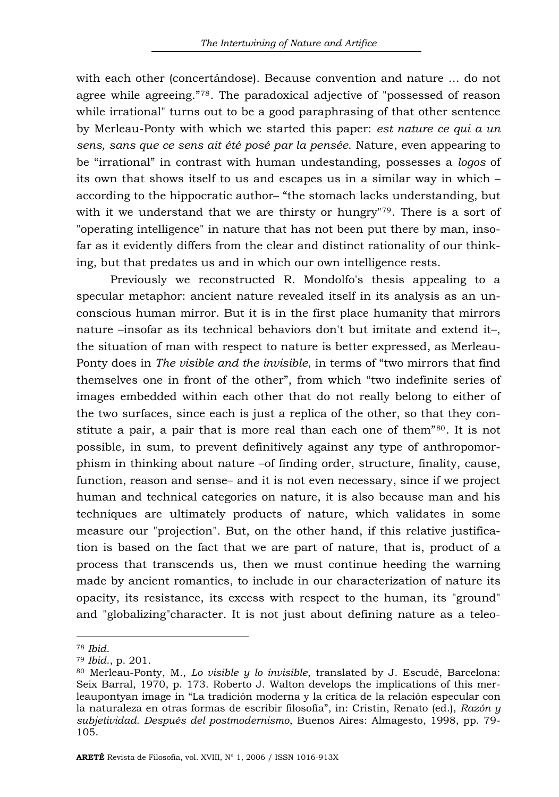with each other (concertándose). Because convention and nature … do not agree while agreeing."[78](#page-20-0). The paradoxical adjective of "possessed of reason while irrational" turns out to be a good paraphrasing of that other sentence by Merleau-Ponty with which we started this paper: *est nature ce qui a un sens, sans que ce sens ait été posé par la pensée*. Nature, even appearing to be "irrational" in contrast with human undestanding, possesses a *logos* of its own that shows itself to us and escapes us in a similar way in which – according to the hippocratic author– "the stomach lacks understanding, but with it we understand that we are thirsty or hungry"[79](#page-20-1). There is a sort of "operating intelligence" in nature that has not been put there by man, insofar as it evidently differs from the clear and distinct rationality of our thinking, but that predates us and in which our own intelligence rests.

Previously we reconstructed R. Mondolfo's thesis appealing to a specular metaphor: ancient nature revealed itself in its analysis as an unconscious human mirror. But it is in the first place humanity that mirrors nature –insofar as its technical behaviors don't but imitate and extend it–, the situation of man with respect to nature is better expressed, as Merleau-Ponty does in *The visible and the invisible*, in terms of "two mirrors that find themselves one in front of the other", from which "two indefinite series of images embedded within each other that do not really belong to either of the two surfaces, since each is just a replica of the other, so that they con-stitute a pair, a pair that is more real than each one of them"<sup>[80](#page-20-2)</sup>. It is not possible, in sum, to prevent definitively against any type of anthropomorphism in thinking about nature –of finding order, structure, finality, cause, function, reason and sense– and it is not even necessary, since if we project human and technical categories on nature, it is also because man and his techniques are ultimately products of nature, which validates in some measure our "projection". But, on the other hand, if this relative justification is based on the fact that we are part of nature, that is, product of a process that transcends us, then we must continue heeding the warning made by ancient romantics, to include in our characterization of nature its opacity, its resistance, its excess with respect to the human, its "ground" and "globalizing"character. It is not just about defining nature as a teleo-

<span id="page-20-2"></span>

<span id="page-20-1"></span><span id="page-20-0"></span><sup>&</sup>lt;sup>78</sup> *Ibid.*<br><sup>79</sup> *Ibid.*, p. 201.<br><sup>80</sup> Merleau-Ponty, M., *Lo visible y lo invisible*, translated by J. Escudé, Barcelona: Seix Barral, 1970, p. 173. Roberto J. Walton develops the implications of this merleaupontyan image in "La tradición moderna y la crítica de la relación especular con la naturaleza en otras formas de escribir filosofía", in: Cristin, Renato (ed.), *Razón y subjetividad. Después del postmodernismo*, Buenos Aires: Almagesto, 1998, pp. 79- 105.